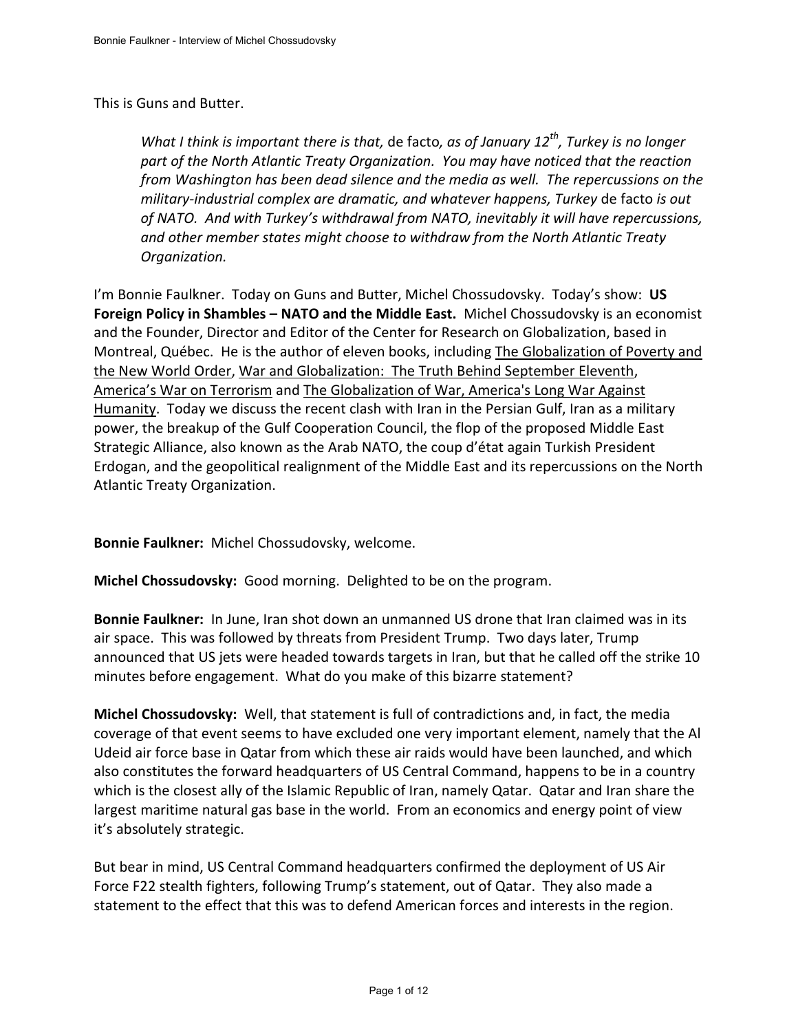## This is Guns and Butter.

*What I think is important there is that,* de facto*, as of January 12th, Turkey is no longer part of the North Atlantic Treaty Organization. You may have noticed that the reaction from Washington has been dead silence and the media as well. The repercussions on the military-industrial complex are dramatic, and whatever happens, Turkey* de facto *is out of NATO. And with Turkey's withdrawal from NATO, inevitably it will have repercussions, and other member states might choose to withdraw from the North Atlantic Treaty Organization.* 

I'm Bonnie Faulkner. Today on Guns and Butter, Michel Chossudovsky. Today's show: **US Foreign Policy in Shambles – NATO and the Middle East.** Michel Chossudovsky is an economist and the Founder, Director and Editor of the Center for Research on Globalization, based in Montreal, Québec. He is the author of eleven books, including The Globalization of Poverty and the New World Order, War and Globalization: The Truth Behind September Eleventh, America's War on Terrorism and The Globalization of War, America's Long War Against Humanity. Today we discuss the recent clash with Iran in the Persian Gulf, Iran as a military power, the breakup of the Gulf Cooperation Council, the flop of the proposed Middle East Strategic Alliance, also known as the Arab NATO, the coup d'état again Turkish President Erdogan, and the geopolitical realignment of the Middle East and its repercussions on the North Atlantic Treaty Organization.

**Bonnie Faulkner:** Michel Chossudovsky, welcome.

**Michel Chossudovsky:** Good morning. Delighted to be on the program.

**Bonnie Faulkner:** In June, Iran shot down an unmanned US drone that Iran claimed was in its air space. This was followed by threats from President Trump. Two days later, Trump announced that US jets were headed towards targets in Iran, but that he called off the strike 10 minutes before engagement. What do you make of this bizarre statement?

**Michel Chossudovsky:** Well, that statement is full of contradictions and, in fact, the media coverage of that event seems to have excluded one very important element, namely that the Al Udeid air force base in Qatar from which these air raids would have been launched, and which also constitutes the forward headquarters of US Central Command, happens to be in a country which is the closest ally of the Islamic Republic of Iran, namely Qatar. Qatar and Iran share the largest maritime natural gas base in the world. From an economics and energy point of view it's absolutely strategic.

But bear in mind, US Central Command headquarters confirmed the deployment of US Air Force F22 stealth fighters, following Trump's statement, out of Qatar. They also made a statement to the effect that this was to defend American forces and interests in the region.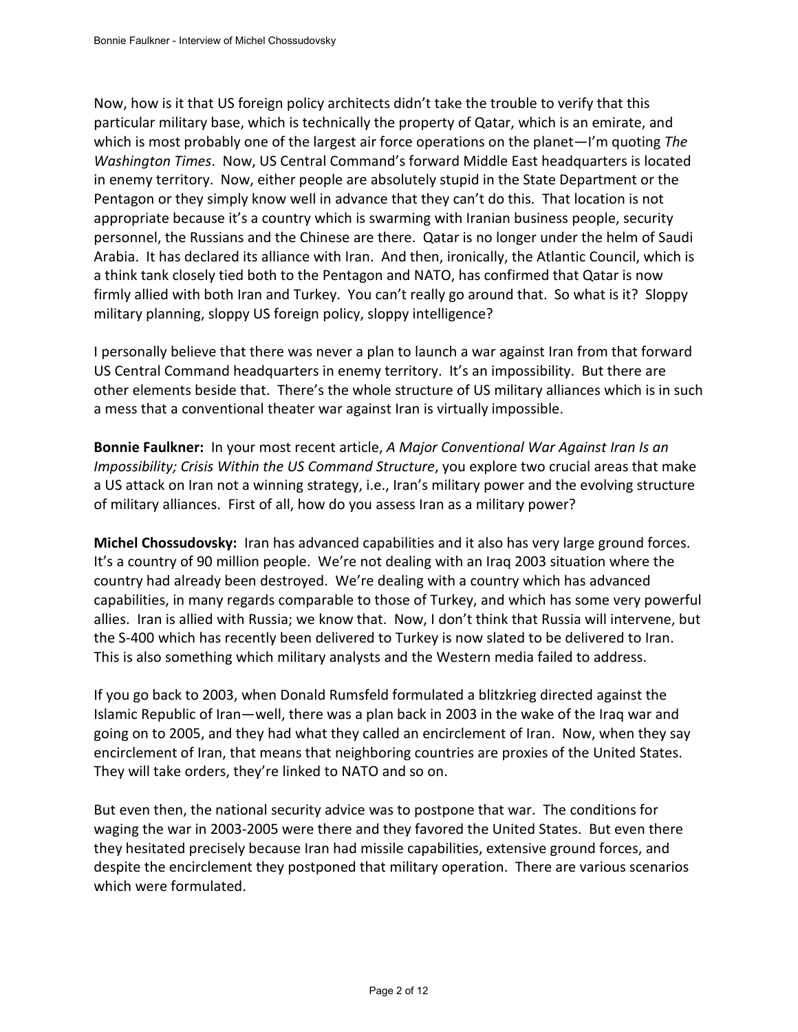Now, how is it that US foreign policy architects didn't take the trouble to verify that this particular military base, which is technically the property of Qatar, which is an emirate, and which is most probably one of the largest air force operations on the planet—I'm quoting *The Washington Times*. Now, US Central Command's forward Middle East headquarters is located in enemy territory. Now, either people are absolutely stupid in the State Department or the Pentagon or they simply know well in advance that they can't do this. That location is not appropriate because it's a country which is swarming with Iranian business people, security personnel, the Russians and the Chinese are there. Qatar is no longer under the helm of Saudi Arabia. It has declared its alliance with Iran. And then, ironically, the Atlantic Council, which is a think tank closely tied both to the Pentagon and NATO, has confirmed that Qatar is now firmly allied with both Iran and Turkey. You can't really go around that. So what is it? Sloppy military planning, sloppy US foreign policy, sloppy intelligence?

I personally believe that there was never a plan to launch a war against Iran from that forward US Central Command headquarters in enemy territory. It's an impossibility. But there are other elements beside that. There's the whole structure of US military alliances which is in such a mess that a conventional theater war against Iran is virtually impossible.

**Bonnie Faulkner:** In your most recent article, *A Major Conventional War Against Iran Is an Impossibility; Crisis Within the US Command Structure*, you explore two crucial areas that make a US attack on Iran not a winning strategy, i.e., Iran's military power and the evolving structure of military alliances. First of all, how do you assess Iran as a military power?

**Michel Chossudovsky:** Iran has advanced capabilities and it also has very large ground forces. It's a country of 90 million people. We're not dealing with an Iraq 2003 situation where the country had already been destroyed. We're dealing with a country which has advanced capabilities, in many regards comparable to those of Turkey, and which has some very powerful allies. Iran is allied with Russia; we know that. Now, I don't think that Russia will intervene, but the S-400 which has recently been delivered to Turkey is now slated to be delivered to Iran. This is also something which military analysts and the Western media failed to address.

If you go back to 2003, when Donald Rumsfeld formulated a blitzkrieg directed against the Islamic Republic of Iran—well, there was a plan back in 2003 in the wake of the Iraq war and going on to 2005, and they had what they called an encirclement of Iran. Now, when they say encirclement of Iran, that means that neighboring countries are proxies of the United States. They will take orders, they're linked to NATO and so on.

But even then, the national security advice was to postpone that war. The conditions for waging the war in 2003-2005 were there and they favored the United States. But even there they hesitated precisely because Iran had missile capabilities, extensive ground forces, and despite the encirclement they postponed that military operation. There are various scenarios which were formulated.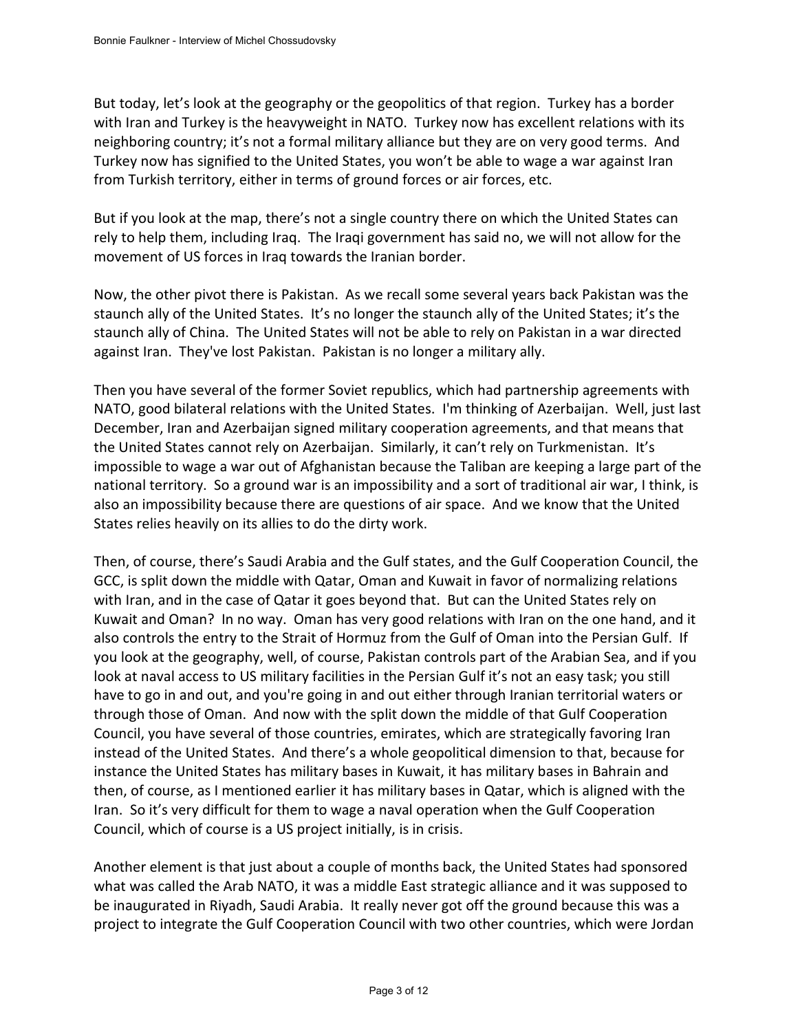But today, let's look at the geography or the geopolitics of that region. Turkey has a border with Iran and Turkey is the heavyweight in NATO. Turkey now has excellent relations with its neighboring country; it's not a formal military alliance but they are on very good terms. And Turkey now has signified to the United States, you won't be able to wage a war against Iran from Turkish territory, either in terms of ground forces or air forces, etc.

But if you look at the map, there's not a single country there on which the United States can rely to help them, including Iraq. The Iraqi government has said no, we will not allow for the movement of US forces in Iraq towards the Iranian border.

Now, the other pivot there is Pakistan. As we recall some several years back Pakistan was the staunch ally of the United States. It's no longer the staunch ally of the United States; it's the staunch ally of China. The United States will not be able to rely on Pakistan in a war directed against Iran. They've lost Pakistan. Pakistan is no longer a military ally.

Then you have several of the former Soviet republics, which had partnership agreements with NATO, good bilateral relations with the United States. I'm thinking of Azerbaijan. Well, just last December, Iran and Azerbaijan signed military cooperation agreements, and that means that the United States cannot rely on Azerbaijan. Similarly, it can't rely on Turkmenistan. It's impossible to wage a war out of Afghanistan because the Taliban are keeping a large part of the national territory. So a ground war is an impossibility and a sort of traditional air war, I think, is also an impossibility because there are questions of air space. And we know that the United States relies heavily on its allies to do the dirty work.

Then, of course, there's Saudi Arabia and the Gulf states, and the Gulf Cooperation Council, the GCC, is split down the middle with Qatar, Oman and Kuwait in favor of normalizing relations with Iran, and in the case of Qatar it goes beyond that. But can the United States rely on Kuwait and Oman? In no way. Oman has very good relations with Iran on the one hand, and it also controls the entry to the Strait of Hormuz from the Gulf of Oman into the Persian Gulf. If you look at the geography, well, of course, Pakistan controls part of the Arabian Sea, and if you look at naval access to US military facilities in the Persian Gulf it's not an easy task; you still have to go in and out, and you're going in and out either through Iranian territorial waters or through those of Oman. And now with the split down the middle of that Gulf Cooperation Council, you have several of those countries, emirates, which are strategically favoring Iran instead of the United States. And there's a whole geopolitical dimension to that, because for instance the United States has military bases in Kuwait, it has military bases in Bahrain and then, of course, as I mentioned earlier it has military bases in Qatar, which is aligned with the Iran. So it's very difficult for them to wage a naval operation when the Gulf Cooperation Council, which of course is a US project initially, is in crisis.

Another element is that just about a couple of months back, the United States had sponsored what was called the Arab NATO, it was a middle East strategic alliance and it was supposed to be inaugurated in Riyadh, Saudi Arabia. It really never got off the ground because this was a project to integrate the Gulf Cooperation Council with two other countries, which were Jordan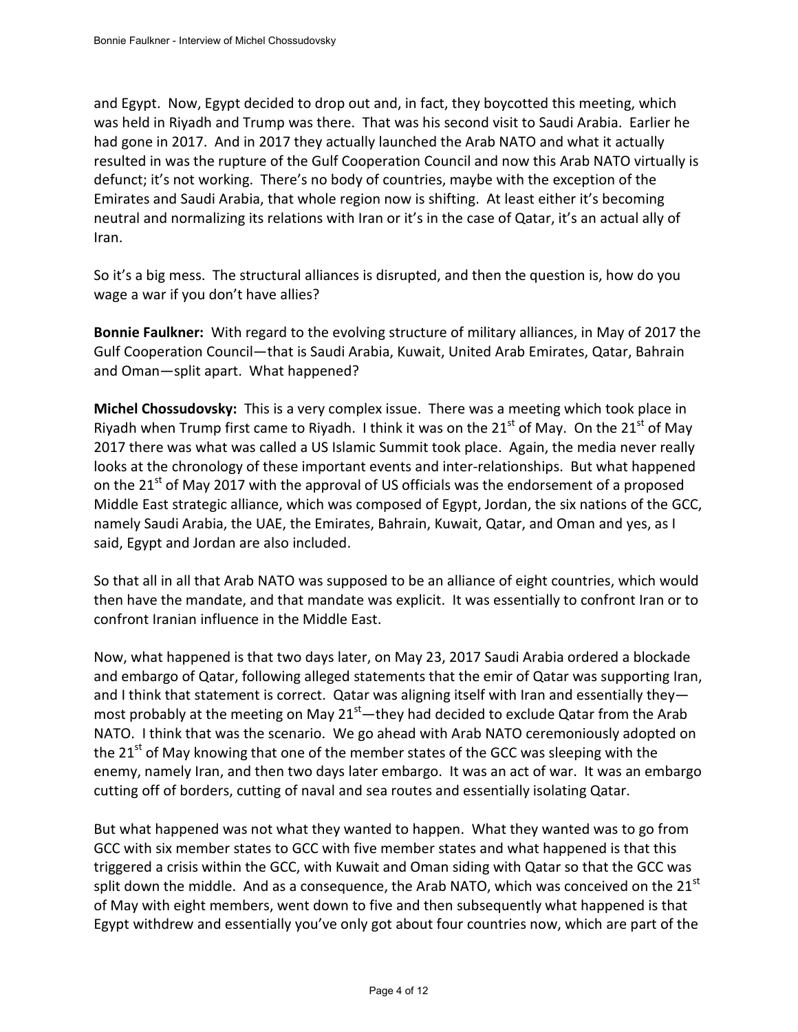and Egypt. Now, Egypt decided to drop out and, in fact, they boycotted this meeting, which was held in Riyadh and Trump was there. That was his second visit to Saudi Arabia. Earlier he had gone in 2017. And in 2017 they actually launched the Arab NATO and what it actually resulted in was the rupture of the Gulf Cooperation Council and now this Arab NATO virtually is defunct; it's not working. There's no body of countries, maybe with the exception of the Emirates and Saudi Arabia, that whole region now is shifting. At least either it's becoming neutral and normalizing its relations with Iran or it's in the case of Qatar, it's an actual ally of Iran.

So it's a big mess. The structural alliances is disrupted, and then the question is, how do you wage a war if you don't have allies?

**Bonnie Faulkner:** With regard to the evolving structure of military alliances, in May of 2017 the Gulf Cooperation Council—that is Saudi Arabia, Kuwait, United Arab Emirates, Qatar, Bahrain and Oman—split apart. What happened?

**Michel Chossudovsky:** This is a very complex issue. There was a meeting which took place in Riyadh when Trump first came to Riyadh. I think it was on the  $21^{st}$  of May. On the  $21^{st}$  of May 2017 there was what was called a US Islamic Summit took place. Again, the media never really looks at the chronology of these important events and inter-relationships. But what happened on the  $21<sup>st</sup>$  of May 2017 with the approval of US officials was the endorsement of a proposed Middle East strategic alliance, which was composed of Egypt, Jordan, the six nations of the GCC, namely Saudi Arabia, the UAE, the Emirates, Bahrain, Kuwait, Qatar, and Oman and yes, as I said, Egypt and Jordan are also included.

So that all in all that Arab NATO was supposed to be an alliance of eight countries, which would then have the mandate, and that mandate was explicit. It was essentially to confront Iran or to confront Iranian influence in the Middle East.

Now, what happened is that two days later, on May 23, 2017 Saudi Arabia ordered a blockade and embargo of Qatar, following alleged statements that the emir of Qatar was supporting Iran, and I think that statement is correct. Qatar was aligning itself with Iran and essentially they most probably at the meeting on May  $21<sup>st</sup>$  — they had decided to exclude Qatar from the Arab NATO. I think that was the scenario. We go ahead with Arab NATO ceremoniously adopted on the 21<sup>st</sup> of May knowing that one of the member states of the GCC was sleeping with the enemy, namely Iran, and then two days later embargo. It was an act of war. It was an embargo cutting off of borders, cutting of naval and sea routes and essentially isolating Qatar.

But what happened was not what they wanted to happen. What they wanted was to go from GCC with six member states to GCC with five member states and what happened is that this triggered a crisis within the GCC, with Kuwait and Oman siding with Qatar so that the GCC was split down the middle. And as a consequence, the Arab NATO, which was conceived on the  $21<sup>st</sup>$ of May with eight members, went down to five and then subsequently what happened is that Egypt withdrew and essentially you've only got about four countries now, which are part of the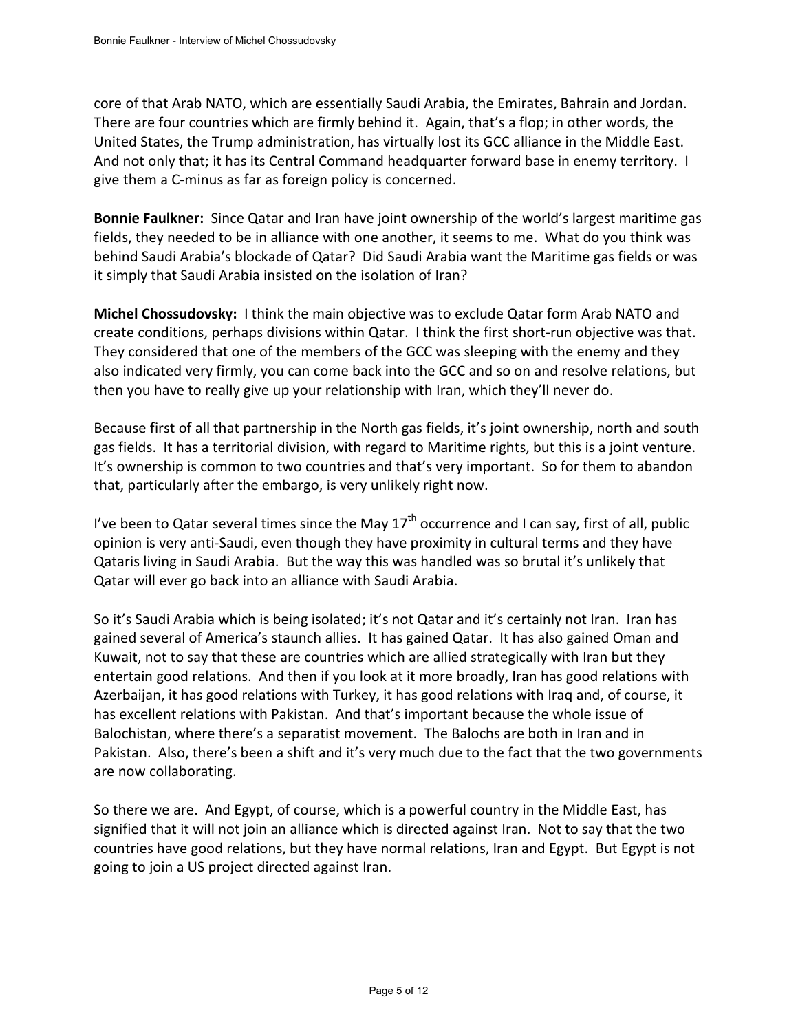core of that Arab NATO, which are essentially Saudi Arabia, the Emirates, Bahrain and Jordan. There are four countries which are firmly behind it. Again, that's a flop; in other words, the United States, the Trump administration, has virtually lost its GCC alliance in the Middle East. And not only that; it has its Central Command headquarter forward base in enemy territory. I give them a C-minus as far as foreign policy is concerned.

**Bonnie Faulkner:** Since Qatar and Iran have joint ownership of the world's largest maritime gas fields, they needed to be in alliance with one another, it seems to me. What do you think was behind Saudi Arabia's blockade of Qatar? Did Saudi Arabia want the Maritime gas fields or was it simply that Saudi Arabia insisted on the isolation of Iran?

**Michel Chossudovsky:** I think the main objective was to exclude Qatar form Arab NATO and create conditions, perhaps divisions within Qatar. I think the first short-run objective was that. They considered that one of the members of the GCC was sleeping with the enemy and they also indicated very firmly, you can come back into the GCC and so on and resolve relations, but then you have to really give up your relationship with Iran, which they'll never do.

Because first of all that partnership in the North gas fields, it's joint ownership, north and south gas fields. It has a territorial division, with regard to Maritime rights, but this is a joint venture. It's ownership is common to two countries and that's very important. So for them to abandon that, particularly after the embargo, is very unlikely right now.

I've been to Qatar several times since the May  $17<sup>th</sup>$  occurrence and I can say, first of all, public opinion is very anti-Saudi, even though they have proximity in cultural terms and they have Qataris living in Saudi Arabia. But the way this was handled was so brutal it's unlikely that Qatar will ever go back into an alliance with Saudi Arabia.

So it's Saudi Arabia which is being isolated; it's not Qatar and it's certainly not Iran. Iran has gained several of America's staunch allies. It has gained Qatar. It has also gained Oman and Kuwait, not to say that these are countries which are allied strategically with Iran but they entertain good relations. And then if you look at it more broadly, Iran has good relations with Azerbaijan, it has good relations with Turkey, it has good relations with Iraq and, of course, it has excellent relations with Pakistan. And that's important because the whole issue of Balochistan, where there's a separatist movement. The Balochs are both in Iran and in Pakistan. Also, there's been a shift and it's very much due to the fact that the two governments are now collaborating.

So there we are. And Egypt, of course, which is a powerful country in the Middle East, has signified that it will not join an alliance which is directed against Iran. Not to say that the two countries have good relations, but they have normal relations, Iran and Egypt. But Egypt is not going to join a US project directed against Iran.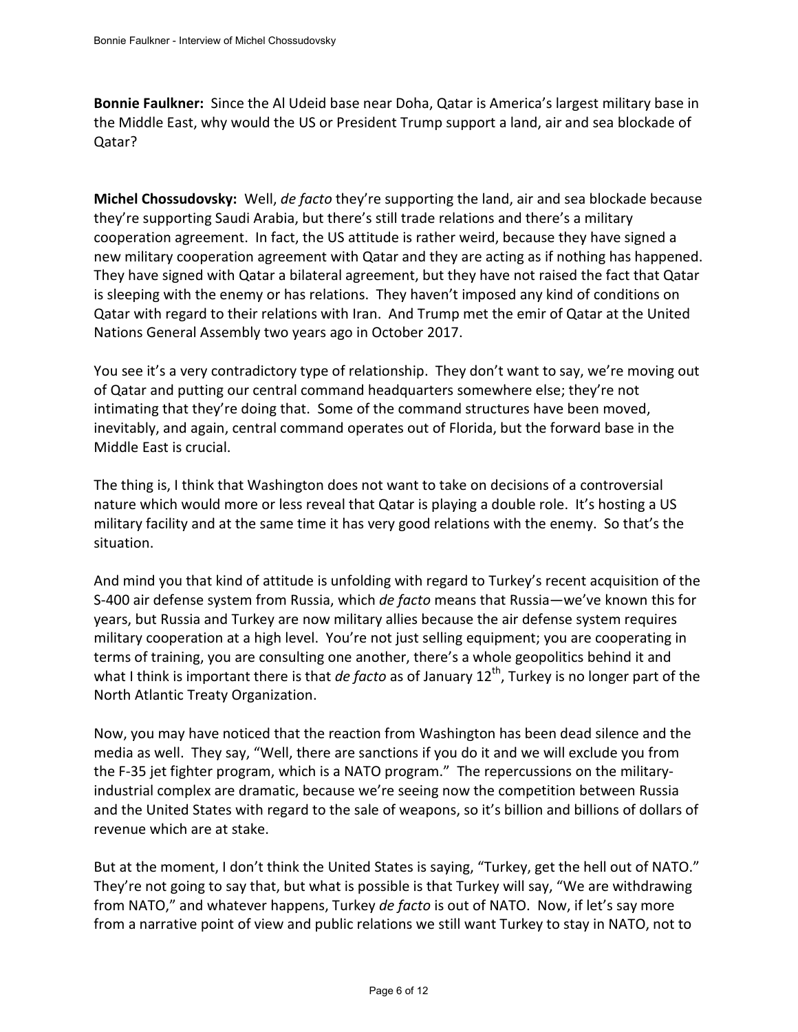**Bonnie Faulkner:** Since the Al Udeid base near Doha, Qatar is America's largest military base in the Middle East, why would the US or President Trump support a land, air and sea blockade of Qatar?

**Michel Chossudovsky:** Well, *de facto* they're supporting the land, air and sea blockade because they're supporting Saudi Arabia, but there's still trade relations and there's a military cooperation agreement. In fact, the US attitude is rather weird, because they have signed a new military cooperation agreement with Qatar and they are acting as if nothing has happened. They have signed with Qatar a bilateral agreement, but they have not raised the fact that Qatar is sleeping with the enemy or has relations. They haven't imposed any kind of conditions on Qatar with regard to their relations with Iran. And Trump met the emir of Qatar at the United Nations General Assembly two years ago in October 2017.

You see it's a very contradictory type of relationship. They don't want to say, we're moving out of Qatar and putting our central command headquarters somewhere else; they're not intimating that they're doing that. Some of the command structures have been moved, inevitably, and again, central command operates out of Florida, but the forward base in the Middle East is crucial.

The thing is, I think that Washington does not want to take on decisions of a controversial nature which would more or less reveal that Qatar is playing a double role. It's hosting a US military facility and at the same time it has very good relations with the enemy. So that's the situation.

And mind you that kind of attitude is unfolding with regard to Turkey's recent acquisition of the S-400 air defense system from Russia, which *de facto* means that Russia—we've known this for years, but Russia and Turkey are now military allies because the air defense system requires military cooperation at a high level. You're not just selling equipment; you are cooperating in terms of training, you are consulting one another, there's a whole geopolitics behind it and what I think is important there is that *de facto* as of January 12<sup>th</sup>, Turkey is no longer part of the North Atlantic Treaty Organization.

Now, you may have noticed that the reaction from Washington has been dead silence and the media as well. They say, "Well, there are sanctions if you do it and we will exclude you from the F-35 jet fighter program, which is a NATO program." The repercussions on the militaryindustrial complex are dramatic, because we're seeing now the competition between Russia and the United States with regard to the sale of weapons, so it's billion and billions of dollars of revenue which are at stake.

But at the moment, I don't think the United States is saying, "Turkey, get the hell out of NATO." They're not going to say that, but what is possible is that Turkey will say, "We are withdrawing from NATO," and whatever happens, Turkey *de facto* is out of NATO. Now, if let's say more from a narrative point of view and public relations we still want Turkey to stay in NATO, not to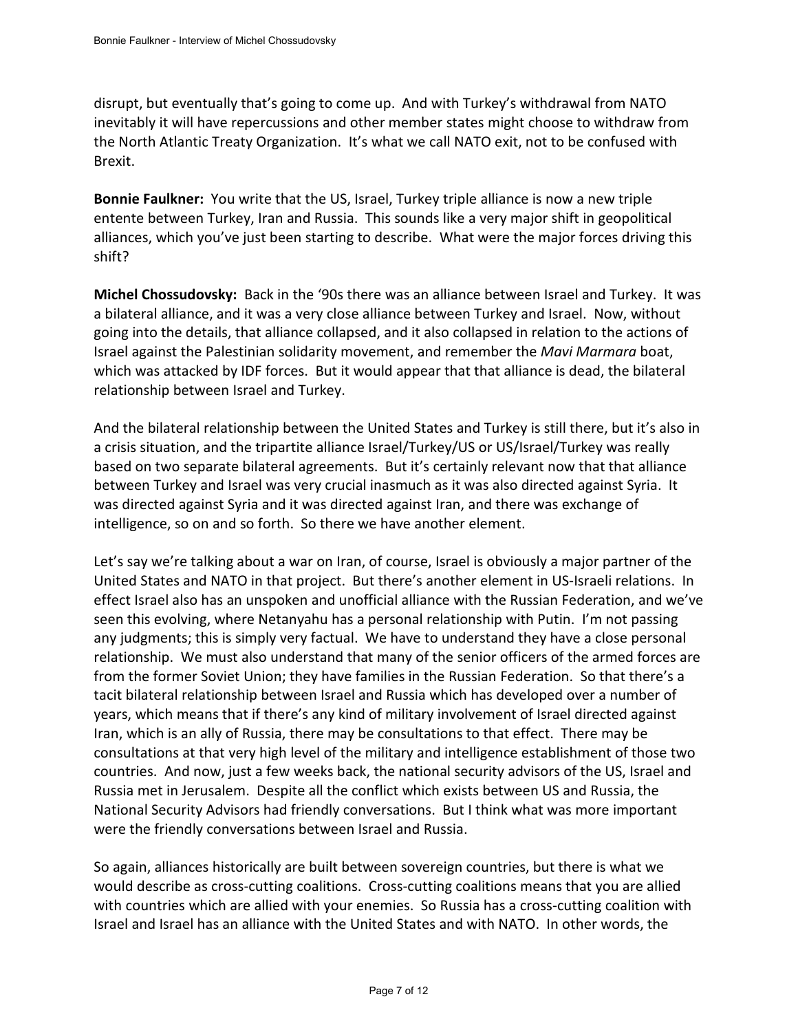disrupt, but eventually that's going to come up. And with Turkey's withdrawal from NATO inevitably it will have repercussions and other member states might choose to withdraw from the North Atlantic Treaty Organization. It's what we call NATO exit, not to be confused with Brexit.

**Bonnie Faulkner:** You write that the US, Israel, Turkey triple alliance is now a new triple entente between Turkey, Iran and Russia. This sounds like a very major shift in geopolitical alliances, which you've just been starting to describe. What were the major forces driving this shift?

**Michel Chossudovsky:** Back in the '90s there was an alliance between Israel and Turkey. It was a bilateral alliance, and it was a very close alliance between Turkey and Israel. Now, without going into the details, that alliance collapsed, and it also collapsed in relation to the actions of Israel against the Palestinian solidarity movement, and remember the *Mavi Marmara* boat, which was attacked by IDF forces. But it would appear that that alliance is dead, the bilateral relationship between Israel and Turkey.

And the bilateral relationship between the United States and Turkey is still there, but it's also in a crisis situation, and the tripartite alliance Israel/Turkey/US or US/Israel/Turkey was really based on two separate bilateral agreements. But it's certainly relevant now that that alliance between Turkey and Israel was very crucial inasmuch as it was also directed against Syria. It was directed against Syria and it was directed against Iran, and there was exchange of intelligence, so on and so forth. So there we have another element.

Let's say we're talking about a war on Iran, of course, Israel is obviously a major partner of the United States and NATO in that project. But there's another element in US-Israeli relations. In effect Israel also has an unspoken and unofficial alliance with the Russian Federation, and we've seen this evolving, where Netanyahu has a personal relationship with Putin. I'm not passing any judgments; this is simply very factual. We have to understand they have a close personal relationship. We must also understand that many of the senior officers of the armed forces are from the former Soviet Union; they have families in the Russian Federation. So that there's a tacit bilateral relationship between Israel and Russia which has developed over a number of years, which means that if there's any kind of military involvement of Israel directed against Iran, which is an ally of Russia, there may be consultations to that effect. There may be consultations at that very high level of the military and intelligence establishment of those two countries. And now, just a few weeks back, the national security advisors of the US, Israel and Russia met in Jerusalem. Despite all the conflict which exists between US and Russia, the National Security Advisors had friendly conversations. But I think what was more important were the friendly conversations between Israel and Russia.

So again, alliances historically are built between sovereign countries, but there is what we would describe as cross-cutting coalitions. Cross-cutting coalitions means that you are allied with countries which are allied with your enemies. So Russia has a cross-cutting coalition with Israel and Israel has an alliance with the United States and with NATO. In other words, the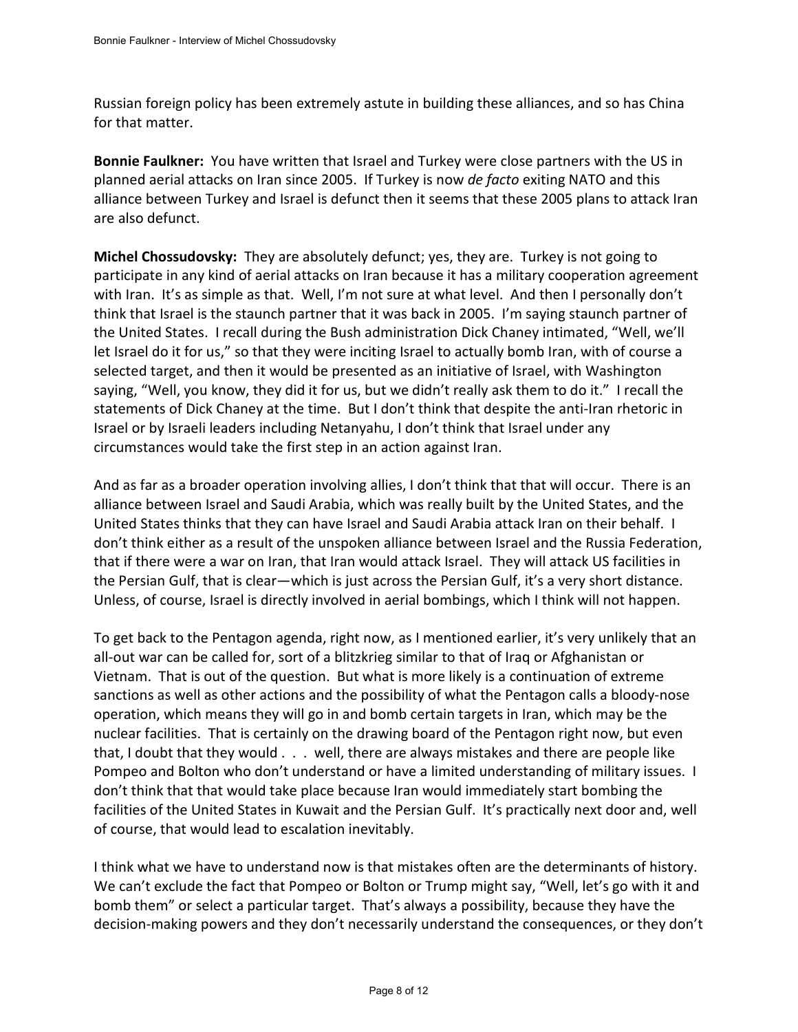Russian foreign policy has been extremely astute in building these alliances, and so has China for that matter.

**Bonnie Faulkner:** You have written that Israel and Turkey were close partners with the US in planned aerial attacks on Iran since 2005. If Turkey is now *de facto* exiting NATO and this alliance between Turkey and Israel is defunct then it seems that these 2005 plans to attack Iran are also defunct.

**Michel Chossudovsky:** They are absolutely defunct; yes, they are. Turkey is not going to participate in any kind of aerial attacks on Iran because it has a military cooperation agreement with Iran. It's as simple as that. Well, I'm not sure at what level. And then I personally don't think that Israel is the staunch partner that it was back in 2005. I'm saying staunch partner of the United States. I recall during the Bush administration Dick Chaney intimated, "Well, we'll let Israel do it for us," so that they were inciting Israel to actually bomb Iran, with of course a selected target, and then it would be presented as an initiative of Israel, with Washington saying, "Well, you know, they did it for us, but we didn't really ask them to do it." I recall the statements of Dick Chaney at the time. But I don't think that despite the anti-Iran rhetoric in Israel or by Israeli leaders including Netanyahu, I don't think that Israel under any circumstances would take the first step in an action against Iran.

And as far as a broader operation involving allies, I don't think that that will occur. There is an alliance between Israel and Saudi Arabia, which was really built by the United States, and the United States thinks that they can have Israel and Saudi Arabia attack Iran on their behalf. I don't think either as a result of the unspoken alliance between Israel and the Russia Federation, that if there were a war on Iran, that Iran would attack Israel. They will attack US facilities in the Persian Gulf, that is clear—which is just across the Persian Gulf, it's a very short distance. Unless, of course, Israel is directly involved in aerial bombings, which I think will not happen.

To get back to the Pentagon agenda, right now, as I mentioned earlier, it's very unlikely that an all-out war can be called for, sort of a blitzkrieg similar to that of Iraq or Afghanistan or Vietnam. That is out of the question. But what is more likely is a continuation of extreme sanctions as well as other actions and the possibility of what the Pentagon calls a bloody-nose operation, which means they will go in and bomb certain targets in Iran, which may be the nuclear facilities. That is certainly on the drawing board of the Pentagon right now, but even that, I doubt that they would . . . well, there are always mistakes and there are people like Pompeo and Bolton who don't understand or have a limited understanding of military issues. I don't think that that would take place because Iran would immediately start bombing the facilities of the United States in Kuwait and the Persian Gulf. It's practically next door and, well of course, that would lead to escalation inevitably.

I think what we have to understand now is that mistakes often are the determinants of history. We can't exclude the fact that Pompeo or Bolton or Trump might say, "Well, let's go with it and bomb them" or select a particular target. That's always a possibility, because they have the decision-making powers and they don't necessarily understand the consequences, or they don't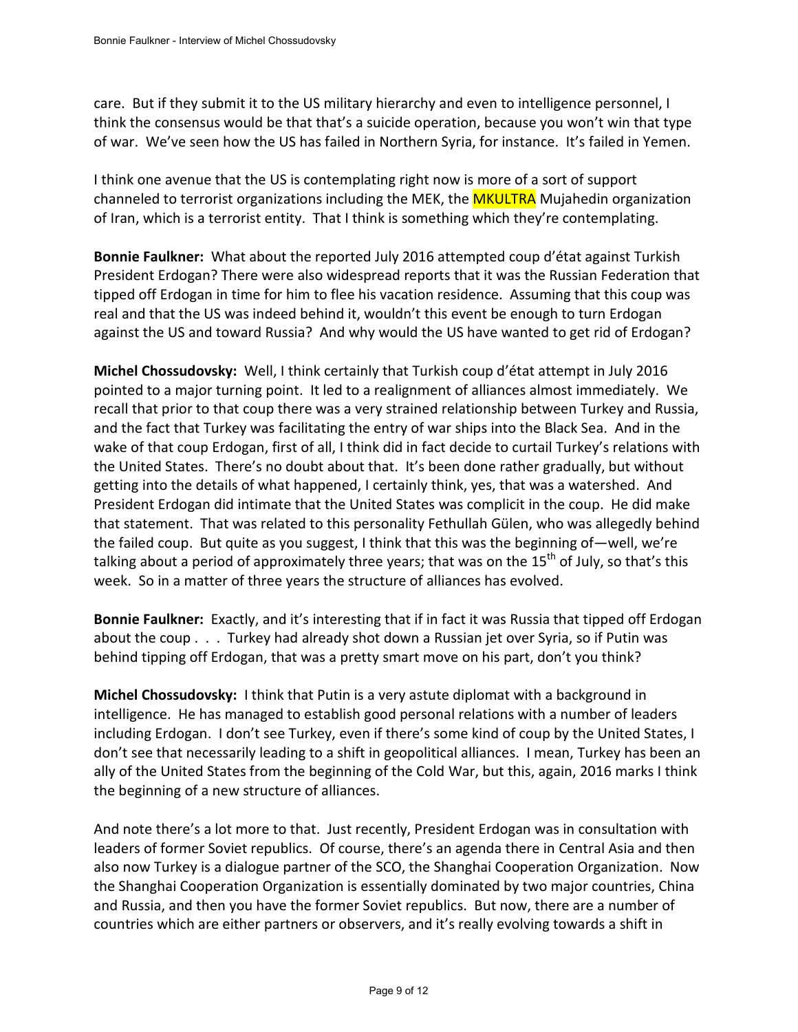care. But if they submit it to the US military hierarchy and even to intelligence personnel, I think the consensus would be that that's a suicide operation, because you won't win that type of war. We've seen how the US has failed in Northern Syria, for instance. It's failed in Yemen.

I think one avenue that the US is contemplating right now is more of a sort of support channeled to terrorist organizations including the MEK, the **MKULTRA** Mujahedin organization of Iran, which is a terrorist entity. That I think is something which they're contemplating.

**Bonnie Faulkner:** What about the reported July 2016 attempted coup d'état against Turkish President Erdogan? There were also widespread reports that it was the Russian Federation that tipped off Erdogan in time for him to flee his vacation residence. Assuming that this coup was real and that the US was indeed behind it, wouldn't this event be enough to turn Erdogan against the US and toward Russia? And why would the US have wanted to get rid of Erdogan?

**Michel Chossudovsky:** Well, I think certainly that Turkish coup d'état attempt in July 2016 pointed to a major turning point. It led to a realignment of alliances almost immediately. We recall that prior to that coup there was a very strained relationship between Turkey and Russia, and the fact that Turkey was facilitating the entry of war ships into the Black Sea. And in the wake of that coup Erdogan, first of all, I think did in fact decide to curtail Turkey's relations with the United States. There's no doubt about that. It's been done rather gradually, but without getting into the details of what happened, I certainly think, yes, that was a watershed. And President Erdogan did intimate that the United States was complicit in the coup. He did make that statement. That was related to this personality Fethullah Gülen, who was allegedly behind the failed coup. But quite as you suggest, I think that this was the beginning of—well, we're talking about a period of approximately three years; that was on the 15<sup>th</sup> of July, so that's this week. So in a matter of three years the structure of alliances has evolved.

**Bonnie Faulkner:** Exactly, and it's interesting that if in fact it was Russia that tipped off Erdogan about the coup . . . Turkey had already shot down a Russian jet over Syria, so if Putin was behind tipping off Erdogan, that was a pretty smart move on his part, don't you think?

**Michel Chossudovsky:** I think that Putin is a very astute diplomat with a background in intelligence. He has managed to establish good personal relations with a number of leaders including Erdogan. I don't see Turkey, even if there's some kind of coup by the United States, I don't see that necessarily leading to a shift in geopolitical alliances. I mean, Turkey has been an ally of the United States from the beginning of the Cold War, but this, again, 2016 marks I think the beginning of a new structure of alliances.

And note there's a lot more to that. Just recently, President Erdogan was in consultation with leaders of former Soviet republics. Of course, there's an agenda there in Central Asia and then also now Turkey is a dialogue partner of the SCO, the Shanghai Cooperation Organization. Now the Shanghai Cooperation Organization is essentially dominated by two major countries, China and Russia, and then you have the former Soviet republics. But now, there are a number of countries which are either partners or observers, and it's really evolving towards a shift in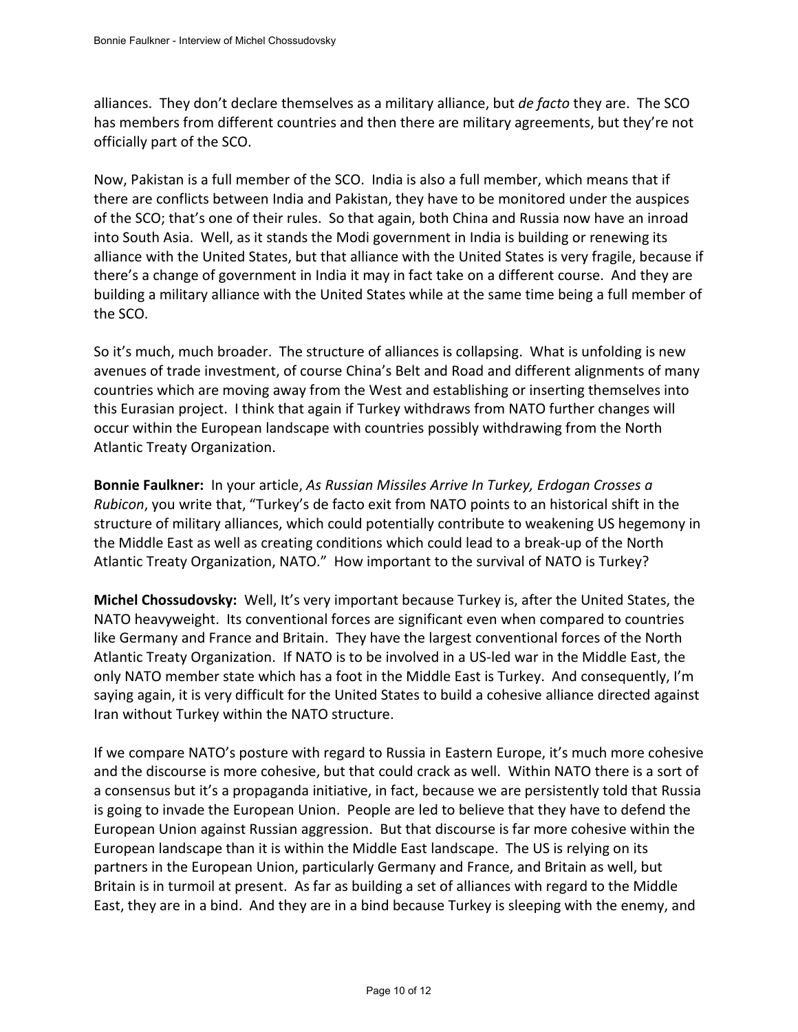alliances. They don't declare themselves as a military alliance, but *de facto* they are. The SCO has members from different countries and then there are military agreements, but they're not officially part of the SCO.

Now, Pakistan is a full member of the SCO. India is also a full member, which means that if there are conflicts between India and Pakistan, they have to be monitored under the auspices of the SCO; that's one of their rules. So that again, both China and Russia now have an inroad into South Asia. Well, as it stands the Modi government in India is building or renewing its alliance with the United States, but that alliance with the United States is very fragile, because if there's a change of government in India it may in fact take on a different course. And they are building a military alliance with the United States while at the same time being a full member of the SCO.

So it's much, much broader. The structure of alliances is collapsing. What is unfolding is new avenues of trade investment, of course China's Belt and Road and different alignments of many countries which are moving away from the West and establishing or inserting themselves into this Eurasian project. I think that again if Turkey withdraws from NATO further changes will occur within the European landscape with countries possibly withdrawing from the North Atlantic Treaty Organization.

**Bonnie Faulkner:** In your article, *As Russian Missiles Arrive In Turkey, Erdogan Crosses a Rubicon*, you write that, "Turkey's de facto exit from NATO points to an historical shift in the structure of military alliances, which could potentially contribute to weakening US hegemony in the Middle East as well as creating conditions which could lead to a break-up of the North Atlantic Treaty Organization, NATO." How important to the survival of NATO is Turkey?

**Michel Chossudovsky:** Well, It's very important because Turkey is, after the United States, the NATO heavyweight. Its conventional forces are significant even when compared to countries like Germany and France and Britain. They have the largest conventional forces of the North Atlantic Treaty Organization. If NATO is to be involved in a US-led war in the Middle East, the only NATO member state which has a foot in the Middle East is Turkey. And consequently, I'm saying again, it is very difficult for the United States to build a cohesive alliance directed against Iran without Turkey within the NATO structure.

If we compare NATO's posture with regard to Russia in Eastern Europe, it's much more cohesive and the discourse is more cohesive, but that could crack as well. Within NATO there is a sort of a consensus but it's a propaganda initiative, in fact, because we are persistently told that Russia is going to invade the European Union. People are led to believe that they have to defend the European Union against Russian aggression. But that discourse is far more cohesive within the European landscape than it is within the Middle East landscape. The US is relying on its partners in the European Union, particularly Germany and France, and Britain as well, but Britain is in turmoil at present. As far as building a set of alliances with regard to the Middle East, they are in a bind. And they are in a bind because Turkey is sleeping with the enemy, and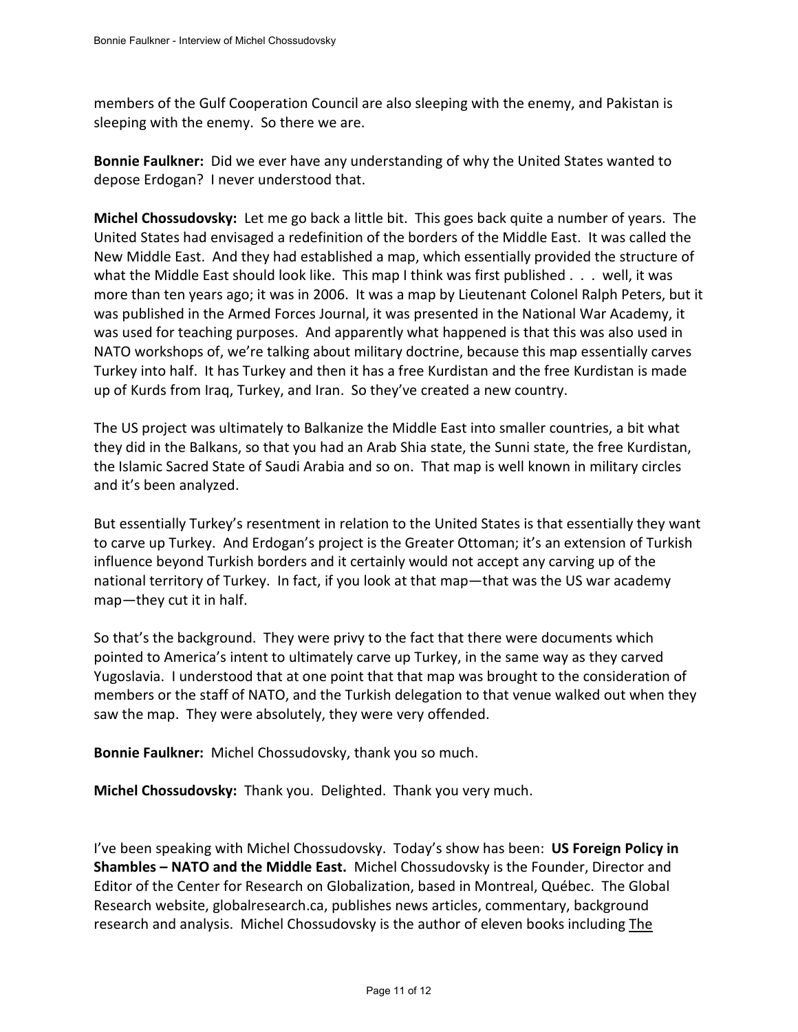members of the Gulf Cooperation Council are also sleeping with the enemy, and Pakistan is sleeping with the enemy. So there we are.

**Bonnie Faulkner:** Did we ever have any understanding of why the United States wanted to depose Erdogan? I never understood that.

**Michel Chossudovsky:** Let me go back a little bit. This goes back quite a number of years. The United States had envisaged a redefinition of the borders of the Middle East. It was called the New Middle East. And they had established a map, which essentially provided the structure of what the Middle East should look like. This map I think was first published . . . well, it was more than ten years ago; it was in 2006. It was a map by Lieutenant Colonel Ralph Peters, but it was published in the Armed Forces Journal, it was presented in the National War Academy, it was used for teaching purposes. And apparently what happened is that this was also used in NATO workshops of, we're talking about military doctrine, because this map essentially carves Turkey into half. It has Turkey and then it has a free Kurdistan and the free Kurdistan is made up of Kurds from Iraq, Turkey, and Iran. So they've created a new country.

The US project was ultimately to Balkanize the Middle East into smaller countries, a bit what they did in the Balkans, so that you had an Arab Shia state, the Sunni state, the free Kurdistan, the Islamic Sacred State of Saudi Arabia and so on. That map is well known in military circles and it's been analyzed.

But essentially Turkey's resentment in relation to the United States is that essentially they want to carve up Turkey. And Erdogan's project is the Greater Ottoman; it's an extension of Turkish influence beyond Turkish borders and it certainly would not accept any carving up of the national territory of Turkey. In fact, if you look at that map—that was the US war academy map—they cut it in half.

So that's the background. They were privy to the fact that there were documents which pointed to America's intent to ultimately carve up Turkey, in the same way as they carved Yugoslavia. I understood that at one point that that map was brought to the consideration of members or the staff of NATO, and the Turkish delegation to that venue walked out when they saw the map. They were absolutely, they were very offended.

**Bonnie Faulkner:** Michel Chossudovsky, thank you so much.

**Michel Chossudovsky:** Thank you. Delighted. Thank you very much.

I've been speaking with Michel Chossudovsky. Today's show has been: **US Foreign Policy in Shambles – NATO and the Middle East.** Michel Chossudovsky is the Founder, Director and Editor of the Center for Research on Globalization, based in Montreal, Québec. The Global Research website, globalresearch.ca, publishes news articles, commentary, background research and analysis. Michel Chossudovsky is the author of eleven books including The